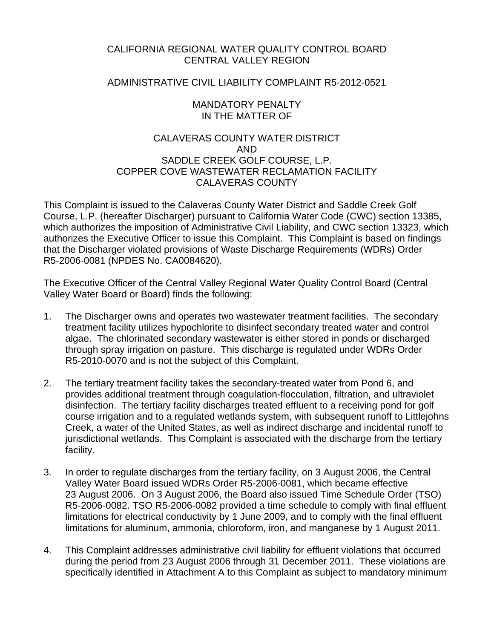# CALIFORNIA REGIONAL WATER QUALITY CONTROL BOARD CENTRAL VALLEY REGION

# ADMINISTRATIVE CIVIL LIABILITY COMPLAINT R5-2012-0521

### MANDATORY PENALTY IN THE MATTER OF

# CALAVERAS COUNTY WATER DISTRICT AND SADDLE CREEK GOLF COURSE, L.P. COPPER COVE WASTEWATER RECLAMATION FACILITY CALAVERAS COUNTY

This Complaint is issued to the Calaveras County Water District and Saddle Creek Golf Course, L.P. (hereafter Discharger) pursuant to California Water Code (CWC) section 13385, which authorizes the imposition of Administrative Civil Liability, and CWC section 13323, which authorizes the Executive Officer to issue this Complaint. This Complaint is based on findings that the Discharger violated provisions of Waste Discharge Requirements (WDRs) Order R5-2006-0081 (NPDES No. CA0084620).

The Executive Officer of the Central Valley Regional Water Quality Control Board (Central Valley Water Board or Board) finds the following:

- 1. The Discharger owns and operates two wastewater treatment facilities. The secondary treatment facility utilizes hypochlorite to disinfect secondary treated water and control algae. The chlorinated secondary wastewater is either stored in ponds or discharged through spray irrigation on pasture. This discharge is regulated under WDRs Order R5-2010-0070 and is not the subject of this Complaint.
- 2. The tertiary treatment facility takes the secondary-treated water from Pond 6, and provides additional treatment through coagulation-flocculation, filtration, and ultraviolet disinfection. The tertiary facility discharges treated effluent to a receiving pond for golf course irrigation and to a regulated wetlands system, with subsequent runoff to Littlejohns Creek, a water of the United States, as well as indirect discharge and incidental runoff to jurisdictional wetlands. This Complaint is associated with the discharge from the tertiary facility.
- 3. In order to regulate discharges from the tertiary facility, on 3 August 2006, the Central Valley Water Board issued WDRs Order R5-2006-0081, which became effective 23 August 2006. On 3 August 2006, the Board also issued Time Schedule Order (TSO) R5-2006-0082. TSO R5-2006-0082 provided a time schedule to comply with final effluent limitations for electrical conductivity by 1 June 2009, and to comply with the final effluent limitations for aluminum, ammonia, chloroform, iron, and manganese by 1 August 2011.
- 4. This Complaint addresses administrative civil liability for effluent violations that occurred during the period from 23 August 2006 through 31 December 2011. These violations are specifically identified in Attachment A to this Complaint as subject to mandatory minimum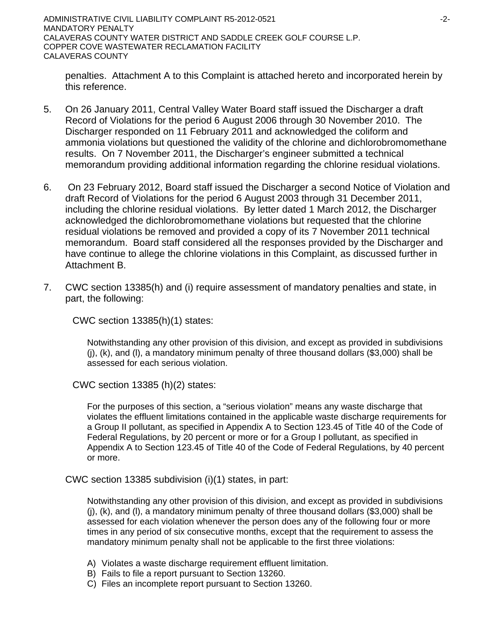ADMINISTRATIVE CIVIL LIABILITY COMPLAINT R5-2012-0521 ADMINISTRATIVE CIVIL LIABILITY COMPLAINT R5-2012-0521 MANDATORY PENALTY CALAVERAS COUNTY WATER DISTRICT AND SADDLE CREEK GOLF COURSE L.P. COPPER COVE WASTEWATER RECLAMATION FACILITY CALAVERAS COUNTY

penalties. Attachment A to this Complaint is attached hereto and incorporated herein by this reference.

- 5. On 26 January 2011, Central Valley Water Board staff issued the Discharger a draft Record of Violations for the period 6 August 2006 through 30 November 2010. The Discharger responded on 11 February 2011 and acknowledged the coliform and ammonia violations but questioned the validity of the chlorine and dichlorobromomethane results. On 7 November 2011, the Discharger's engineer submitted a technical memorandum providing additional information regarding the chlorine residual violations.
- 6. On 23 February 2012, Board staff issued the Discharger a second Notice of Violation and draft Record of Violations for the period 6 August 2003 through 31 December 2011, including the chlorine residual violations. By letter dated 1 March 2012, the Discharger acknowledged the dichlorobromomethane violations but requested that the chlorine residual violations be removed and provided a copy of its 7 November 2011 technical memorandum. Board staff considered all the responses provided by the Discharger and have continue to allege the chlorine violations in this Complaint, as discussed further in Attachment B.
- 7. CWC section 13385(h) and (i) require assessment of mandatory penalties and state, in part, the following:

CWC section 13385(h)(1) states:

Notwithstanding any other provision of this division, and except as provided in subdivisions (j), (k), and (l), a mandatory minimum penalty of three thousand dollars (\$3,000) shall be assessed for each serious violation.

CWC section 13385 (h)(2) states:

For the purposes of this section, a "serious violation" means any waste discharge that violates the effluent limitations contained in the applicable waste discharge requirements for a Group II pollutant, as specified in Appendix A to Section 123.45 of Title 40 of the Code of Federal Regulations, by 20 percent or more or for a Group I pollutant, as specified in Appendix A to Section 123.45 of Title 40 of the Code of Federal Regulations, by 40 percent or more.

CWC section 13385 subdivision (i)(1) states, in part:

Notwithstanding any other provision of this division, and except as provided in subdivisions (j), (k), and (l), a mandatory minimum penalty of three thousand dollars (\$3,000) shall be assessed for each violation whenever the person does any of the following four or more times in any period of six consecutive months, except that the requirement to assess the mandatory minimum penalty shall not be applicable to the first three violations:

- A) Violates a waste discharge requirement effluent limitation.
- B) Fails to file a report pursuant to Section 13260.
- C) Files an incomplete report pursuant to Section 13260.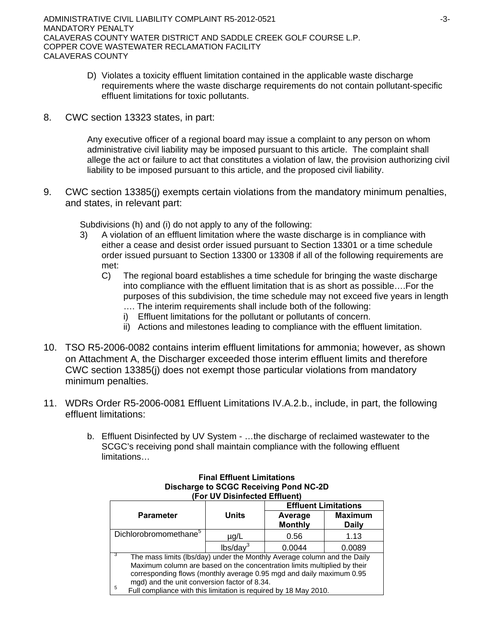- D) Violates a toxicity effluent limitation contained in the applicable waste discharge requirements where the waste discharge requirements do not contain pollutant-specific effluent limitations for toxic pollutants.
- 8. CWC section 13323 states, in part:

Any executive officer of a regional board may issue a complaint to any person on whom administrative civil liability may be imposed pursuant to this article. The complaint shall allege the act or failure to act that constitutes a violation of law, the provision authorizing civil liability to be imposed pursuant to this article, and the proposed civil liability.

9. CWC section 13385(j) exempts certain violations from the mandatory minimum penalties, and states, in relevant part:

Subdivisions (h) and (i) do not apply to any of the following:

- 3) A violation of an effluent limitation where the waste discharge is in compliance with either a cease and desist order issued pursuant to Section 13301 or a time schedule order issued pursuant to Section 13300 or 13308 if all of the following requirements are met:
	- C) The regional board establishes a time schedule for bringing the waste discharge into compliance with the effluent limitation that is as short as possible….For the purposes of this subdivision, the time schedule may not exceed five years in length …. The interim requirements shall include both of the following:
		- i) Effluent limitations for the pollutant or pollutants of concern.
		- ii) Actions and milestones leading to compliance with the effluent limitation.
- 10. TSO R5-2006-0082 contains interim effluent limitations for ammonia; however, as shown on Attachment A, the Discharger exceeded those interim effluent limits and therefore CWC section 13385(j) does not exempt those particular violations from mandatory minimum penalties.
- 11. WDRs Order R5-2006-0081 Effluent Limitations IV.A.2.b., include, in part, the following effluent limitations:
	- b. Effluent Disinfected by UV System …the discharge of reclaimed wastewater to the SCGC's receiving pond shall maintain compliance with the following effluent limitations…

|                                                                          |                      | <b>Effluent Limitations</b> |                                |  |  |  |  |  |
|--------------------------------------------------------------------------|----------------------|-----------------------------|--------------------------------|--|--|--|--|--|
| <b>Parameter</b>                                                         | Units                | Average<br><b>Monthly</b>   | <b>Maximum</b><br><b>Daily</b> |  |  |  |  |  |
| Dichlorobromomethane <sup>5</sup>                                        | $\mu$ g/L            | 0.56                        | 1.13                           |  |  |  |  |  |
|                                                                          | lbs/day <sup>3</sup> | 0.0044                      | 0.0089                         |  |  |  |  |  |
| The mass limits (lbs/day) under the Monthly Average column and the Daily |                      |                             |                                |  |  |  |  |  |
| Maximum column are based on the concentration limits multiplied by their |                      |                             |                                |  |  |  |  |  |
| corresponding flows (monthly average 0.95 mgd and daily maximum 0.95     |                      |                             |                                |  |  |  |  |  |
| mgd) and the unit conversion factor of 8.34.                             |                      |                             |                                |  |  |  |  |  |
| 5<br>Full compliance with this limitation is required by 18 May 2010.    |                      |                             |                                |  |  |  |  |  |

#### **Final Effluent Limitations Discharge to SCGC Receiving Pond NC-2D (For UV Disinfected Effluent)**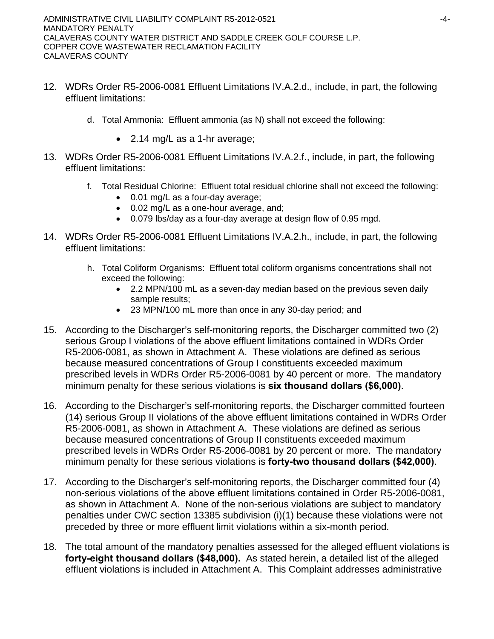- 12. WDRs Order R5-2006-0081 Effluent Limitations IV.A.2.d., include, in part, the following effluent limitations:
	- d. Total Ammonia: Effluent ammonia (as N) shall not exceed the following:
		- 2.14 mg/L as a 1-hr average;
- 13. WDRs Order R5-2006-0081 Effluent Limitations IV.A.2.f., include, in part, the following effluent limitations:
	- f. Total Residual Chlorine: Effluent total residual chlorine shall not exceed the following:
		- 0.01 mg/L as a four-day average;
		- 0.02 mg/L as a one-hour average, and;
		- 0.079 lbs/day as a four-day average at design flow of 0.95 mgd.
- 14. WDRs Order R5-2006-0081 Effluent Limitations IV.A.2.h., include, in part, the following effluent limitations:
	- h. Total Coliform Organisms: Effluent total coliform organisms concentrations shall not exceed the following:
		- 2.2 MPN/100 mL as a seven-day median based on the previous seven daily sample results;
		- 23 MPN/100 mL more than once in any 30-day period; and
- 15. According to the Discharger's self-monitoring reports, the Discharger committed two (2) serious Group I violations of the above effluent limitations contained in WDRs Order R5-2006-0081, as shown in Attachment A. These violations are defined as serious because measured concentrations of Group I constituents exceeded maximum prescribed levels in WDRs Order R5-2006-0081 by 40 percent or more. The mandatory minimum penalty for these serious violations is **six thousand dollars (\$6,000)**.
- 16. According to the Discharger's self-monitoring reports, the Discharger committed fourteen (14) serious Group II violations of the above effluent limitations contained in WDRs Order R5-2006-0081, as shown in Attachment A. These violations are defined as serious because measured concentrations of Group II constituents exceeded maximum prescribed levels in WDRs Order R5-2006-0081 by 20 percent or more. The mandatory minimum penalty for these serious violations is **forty-two thousand dollars (\$42,000)**.
- 17. According to the Discharger's self-monitoring reports, the Discharger committed four (4) non-serious violations of the above effluent limitations contained in Order R5-2006-0081, as shown in Attachment A. None of the non-serious violations are subject to mandatory penalties under CWC section 13385 subdivision (i)(1) because these violations were not preceded by three or more effluent limit violations within a six-month period.
- 18. The total amount of the mandatory penalties assessed for the alleged effluent violations is **forty-eight thousand dollars (\$48,000).** As stated herein, a detailed list of the alleged effluent violations is included in Attachment A. This Complaint addresses administrative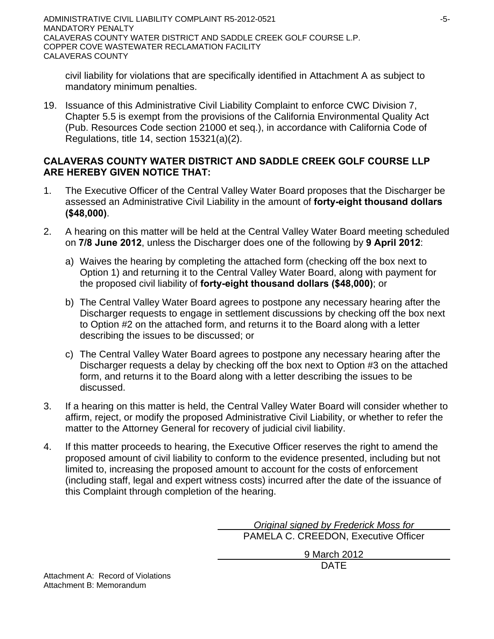civil liability for violations that are specifically identified in Attachment A as subject to mandatory minimum penalties.

19. Issuance of this Administrative Civil Liability Complaint to enforce CWC Division 7, Chapter 5.5 is exempt from the provisions of the California Environmental Quality Act (Pub. Resources Code section 21000 et seq.), in accordance with California Code of Regulations, title 14, section 15321(a)(2).

# **CALAVERAS COUNTY WATER DISTRICT AND SADDLE CREEK GOLF COURSE LLP ARE HEREBY GIVEN NOTICE THAT:**

- 1. The Executive Officer of the Central Valley Water Board proposes that the Discharger be assessed an Administrative Civil Liability in the amount of **forty-eight thousand dollars (\$48,000)**.
- 2. A hearing on this matter will be held at the Central Valley Water Board meeting scheduled on **7/8 June 2012**, unless the Discharger does one of the following by **9 April 2012**:
	- a) Waives the hearing by completing the attached form (checking off the box next to Option 1) and returning it to the Central Valley Water Board, along with payment for the proposed civil liability of **forty-eight thousand dollars (\$48,000)**; or
	- b) The Central Valley Water Board agrees to postpone any necessary hearing after the Discharger requests to engage in settlement discussions by checking off the box next to Option #2 on the attached form, and returns it to the Board along with a letter describing the issues to be discussed; or
	- c) The Central Valley Water Board agrees to postpone any necessary hearing after the Discharger requests a delay by checking off the box next to Option #3 on the attached form, and returns it to the Board along with a letter describing the issues to be discussed.
- 3. If a hearing on this matter is held, the Central Valley Water Board will consider whether to affirm, reject, or modify the proposed Administrative Civil Liability, or whether to refer the matter to the Attorney General for recovery of judicial civil liability.
- 4. If this matter proceeds to hearing, the Executive Officer reserves the right to amend the proposed amount of civil liability to conform to the evidence presented, including but not limited to, increasing the proposed amount to account for the costs of enforcement (including staff, legal and expert witness costs) incurred after the date of the issuance of this Complaint through completion of the hearing.

 *Original signed by Frederick Moss for* PAMELA C. CREEDON, Executive Officer

9 March 2012

DATE

Attachment A: Record of Violations Attachment B: Memorandum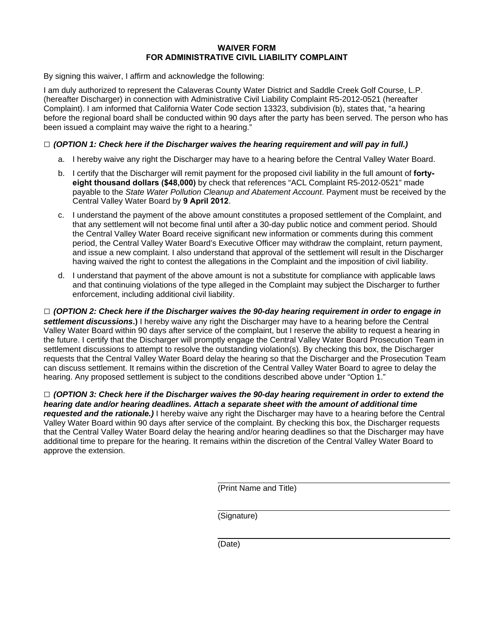#### **WAIVER FORM FOR ADMINISTRATIVE CIVIL LIABILITY COMPLAINT**

By signing this waiver, I affirm and acknowledge the following:

I am duly authorized to represent the Calaveras County Water District and Saddle Creek Golf Course, L.P. (hereafter Discharger) in connection with Administrative Civil Liability Complaint R5-2012-0521 (hereafter Complaint). I am informed that California Water Code section 13323, subdivision (b), states that, "a hearing before the regional board shall be conducted within 90 days after the party has been served. The person who has been issued a complaint may waive the right to a hearing."

#### **□** *(OPTION 1: Check here if the Discharger waives the hearing requirement and will pay in full.)*

- a. I hereby waive any right the Discharger may have to a hearing before the Central Valley Water Board.
- b. I certify that the Discharger will remit payment for the proposed civil liability in the full amount of **fortyeight thousand dollars (\$48,000)** by check that references "ACL Complaint R5-2012-0521" made payable to the *State Water Pollution Cleanup and Abatement Account*. Payment must be received by the Central Valley Water Board by **9 April 2012**.
- c. I understand the payment of the above amount constitutes a proposed settlement of the Complaint, and that any settlement will not become final until after a 30-day public notice and comment period. Should the Central Valley Water Board receive significant new information or comments during this comment period, the Central Valley Water Board's Executive Officer may withdraw the complaint, return payment, and issue a new complaint. I also understand that approval of the settlement will result in the Discharger having waived the right to contest the allegations in the Complaint and the imposition of civil liability.
- d. I understand that payment of the above amount is not a substitute for compliance with applicable laws and that continuing violations of the type alleged in the Complaint may subject the Discharger to further enforcement, including additional civil liability.

**□** *(OPTION 2: Check here if the Discharger waives the 90-day hearing requirement in order to engage in settlement discussions***.)** I hereby waive any right the Discharger may have to a hearing before the Central Valley Water Board within 90 days after service of the complaint, but I reserve the ability to request a hearing in the future. I certify that the Discharger will promptly engage the Central Valley Water Board Prosecution Team in settlement discussions to attempt to resolve the outstanding violation(s). By checking this box, the Discharger requests that the Central Valley Water Board delay the hearing so that the Discharger and the Prosecution Team can discuss settlement. It remains within the discretion of the Central Valley Water Board to agree to delay the hearing. Any proposed settlement is subject to the conditions described above under "Option 1."

**□** *(OPTION 3: Check here if the Discharger waives the 90-day hearing requirement in order to extend the hearing date and/or hearing deadlines. Attach a separate sheet with the amount of additional time requested and the rationale.)* I hereby waive any right the Discharger may have to a hearing before the Central Valley Water Board within 90 days after service of the complaint. By checking this box, the Discharger requests that the Central Valley Water Board delay the hearing and/or hearing deadlines so that the Discharger may have additional time to prepare for the hearing. It remains within the discretion of the Central Valley Water Board to approve the extension.

(Print Name and Title)

(Signature)

(Date)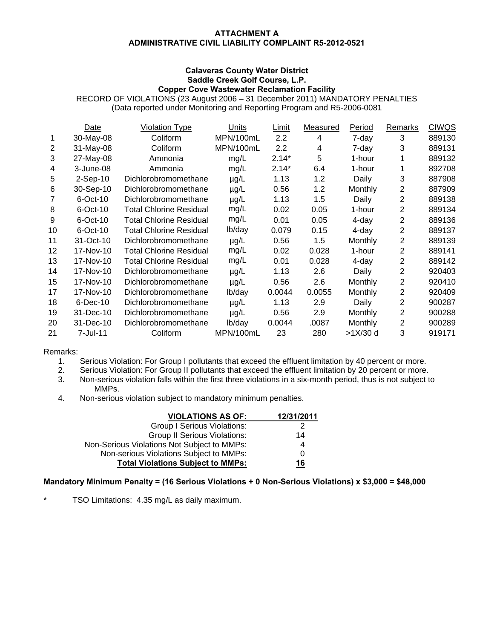#### **ATTACHMENT A ADMINISTRATIVE CIVIL LIABILITY COMPLAINT R5-2012-0521**

#### **Calaveras County Water District Saddle Creek Golf Course, L.P. Copper Cove Wastewater Reclamation Facility**

RECORD OF VIOLATIONS (23 August 2006 – 31 December 2011) MANDATORY PENALTIES (Data reported under Monitoring and Reporting Program and R5-2006-0081

|    | Date        | <b>Violation Type</b>          | Units     | Limit   | Measured | Period   | <b>Remarks</b> | <b>CIWQS</b> |
|----|-------------|--------------------------------|-----------|---------|----------|----------|----------------|--------------|
| 1  | 30-May-08   | Coliform                       | MPN/100mL | 2.2     | 4        | 7-day    | 3              | 889130       |
| 2  | 31-May-08   | Coliform                       | MPN/100mL | 2.2     | 4        | 7-day    | 3              | 889131       |
| 3  | 27-May-08   | Ammonia                        | mg/L      | $2.14*$ | 5        | 1-hour   | 1              | 889132       |
| 4  | 3-June-08   | Ammonia                        | mg/L      | $2.14*$ | 6.4      | 1-hour   |                | 892708       |
| 5  | $2-Sep-10$  | Dichlorobromomethane           | $\mu$ g/L | 1.13    | 1.2      | Daily    | 3              | 887908       |
| 6  | 30-Sep-10   | Dichlorobromomethane           | $\mu$ g/L | 0.56    | 1.2      | Monthly  | 2              | 887909       |
|    | 6-Oct-10    | Dichlorobromomethane           | $\mu$ g/L | 1.13    | 1.5      | Daily    | 2              | 889138       |
| 8  | $6$ -Oct-10 | <b>Total Chlorine Residual</b> | mg/L      | 0.02    | 0.05     | 1-hour   | 2              | 889134       |
| 9  | $6$ -Oct-10 | <b>Total Chlorine Residual</b> | mg/L      | 0.01    | 0.05     | 4-day    | 2              | 889136       |
| 10 | $6$ -Oct-10 | <b>Total Chlorine Residual</b> | lb/day    | 0.079   | 0.15     | 4-day    | 2              | 889137       |
| 11 | 31-Oct-10   | Dichlorobromomethane           | $\mu$ g/L | 0.56    | 1.5      | Monthly  | 2              | 889139       |
| 12 | 17-Nov-10   | <b>Total Chlorine Residual</b> | mg/L      | 0.02    | 0.028    | 1-hour   | 2              | 889141       |
| 13 | 17-Nov-10   | <b>Total Chlorine Residual</b> | mg/L      | 0.01    | 0.028    | 4-day    | 2              | 889142       |
| 14 | 17-Nov-10   | Dichlorobromomethane           | $\mu$ g/L | 1.13    | 2.6      | Daily    | 2              | 920403       |
| 15 | 17-Nov-10   | Dichlorobromomethane           | $\mu$ g/L | 0.56    | 2.6      | Monthly  | 2              | 920410       |
| 17 | 17-Nov-10   | Dichlorobromomethane           | lb/day    | 0.0044  | 0.0055   | Monthly  | 2              | 920409       |
| 18 | $6$ -Dec-10 | Dichlorobromomethane           | $\mu$ g/L | 1.13    | 2.9      | Daily    | 2              | 900287       |
| 19 | 31-Dec-10   | Dichlorobromomethane           | $\mu$ g/L | 0.56    | 2.9      | Monthly  | 2              | 900288       |
| 20 | 31-Dec-10   | Dichlorobromomethane           | lb/day    | 0.0044  | .0087    | Monthly  | 2              | 900289       |
| 21 | 7-Jul-11    | Coliform                       | MPN/100mL | 23      | 280      | >1X/30 d | 3              | 919171       |

#### Remarks:

- 1. Serious Violation: For Group I pollutants that exceed the effluent limitation by 40 percent or more.
- 2. Serious Violation: For Group II pollutants that exceed the effluent limitation by 20 percent or more.
- 3. Non-serious violation falls within the first three violations in a six-month period, thus is not subject to MMPs.
- 4. Non-serious violation subject to mandatory minimum penalties.

| <b>VIOLATIONS AS OF:</b>                    | 12/31/2011 |
|---------------------------------------------|------------|
| Group I Serious Violations:                 |            |
| <b>Group II Serious Violations:</b>         | 14         |
| Non-Serious Violations Not Subject to MMPs: | 4          |
| Non-serious Violations Subject to MMPs:     | 0          |
| <b>Total Violations Subject to MMPs:</b>    | 16         |

#### **Mandatory Minimum Penalty = (16 Serious Violations + 0 Non-Serious Violations) x \$3,000 = \$48,000**

TSO Limitations: 4.35 mg/L as daily maximum.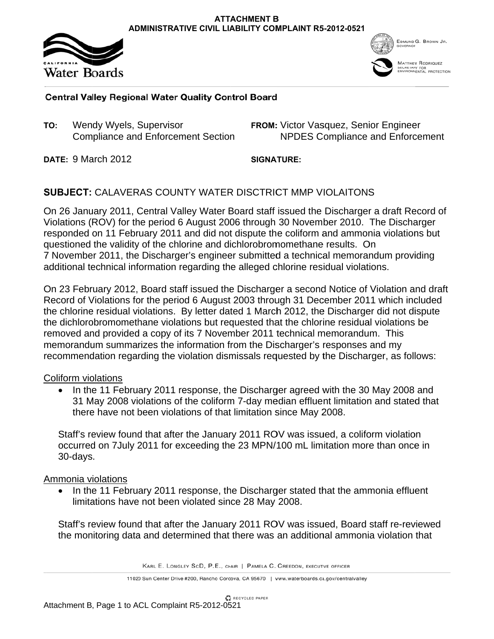



**MATTHEW RODRIQUEZ** AFY FOR<br>NNENTAL PROTECTION

# **Central Valley Regional Water Quality Control Board**

**T TO:** Wen dy Wyels, S Supervisor Compliance and Enforcement Section

**FROM:** Victor Vasquez, Senior Engineer<br>NPDES Compliance and Enforce NPDES Compliance and Enforcement

**DATE: 9 March 2012** 

**SIGNA ATURE:** \_*or*\_\_*i*

# SUBJECT: CALAVERAS COUNTY WATER DISCTRICT MMP VIOLAITONS

SUBJECT: CALAVERAS COUNTY WATER DISCTRICT MMP VIOLAITONS<br>On 26 January 2011, Central Valley Water Board staff issued the Discharger a draft Record of Violations (ROV) for the period 6 August 2006 through 30 November 2010. The Discharger responded on 11 February 2011 and did not dispute the coliform and ammonia violations but questioned the validity of the chlorine and dichlorobromomethane results. On 7 November 2011, the Discharger's engineer submitted a technical memorandum providing additional technical information regarding the alleged chlorine residual violations.

On 23 February 2012, Board staff issued the Discharger a second Notice of Violation and draft Record of Violations for the period 6 August 2003 through 31 December 2011 which included the chlorine residual violations. By letter dated 1 March 2012, the Discharger did not dispute the dichlorobromomethane violations but requested that the chlorine residual violations be removed and provided a copy of its 7 November 2011 technical memorandum. This memorandum summarizes the information from the Discharger's responses and my recommendation regarding the violation dismissals requested by the Discharger, as follows:

### Coliform violations

• In the 11 February 2011 response, the Discharger agreed with the 30 May 2008 and 31 May 2008 violations of the coliform 7-day median effluent limitation and stated that there have not been violations of that limitation since May 2008.

Staff's review found that after the January 2011 ROV was issued, a coliform violation occurred on 7July 2011 for exceeding the 23 MPN/100 mL limitation more than once in 30-days .

### Ammonia violations

• In the 11 February 2011 response, the Discharger stated that the ammonia effluent limitations have not been violated since 28 May 2008.

Staff's review found that after the January 2011 ROV was issued, Board staff re-reviewed the monitoring data and determined that there was an additional ammonia violation that

KARL E. LONGLEY SCD, P.E., CHAIR | PAMELA C. CREEDON, EXECUTIVE OFFICER

11020 Sun Center Drive #200, Rancho Cordova, CA 95670 | www.waterboards.ca.gov/centralvalley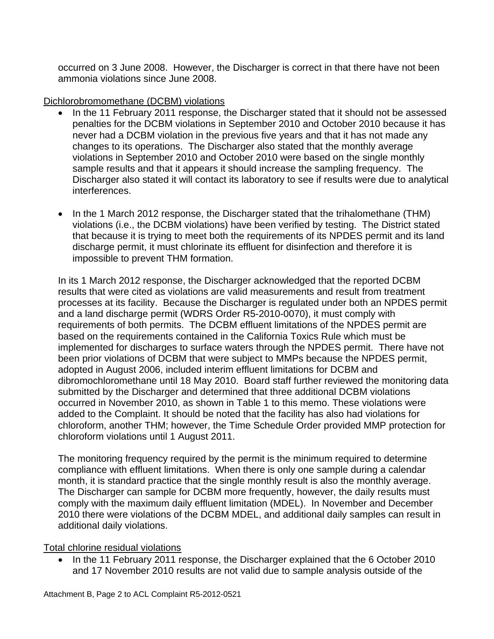occurred on 3 June 2008. However, the Discharger is correct in that there have not been ammonia violations since June 2008.

# Dichlorobromomethane (DCBM) violations

- In the 11 February 2011 response, the Discharger stated that it should not be assessed penalties for the DCBM violations in September 2010 and October 2010 because it has never had a DCBM violation in the previous five years and that it has not made any changes to its operations. The Discharger also stated that the monthly average violations in September 2010 and October 2010 were based on the single monthly sample results and that it appears it should increase the sampling frequency. The Discharger also stated it will contact its laboratory to see if results were due to analytical interferences.
- In the 1 March 2012 response, the Discharger stated that the trihalomethane (THM) violations (i.e., the DCBM violations) have been verified by testing. The District stated that because it is trying to meet both the requirements of its NPDES permit and its land discharge permit, it must chlorinate its effluent for disinfection and therefore it is impossible to prevent THM formation.

In its 1 March 2012 response, the Discharger acknowledged that the reported DCBM results that were cited as violations are valid measurements and result from treatment processes at its facility. Because the Discharger is regulated under both an NPDES permit and a land discharge permit (WDRS Order R5-2010-0070), it must comply with requirements of both permits. The DCBM effluent limitations of the NPDES permit are based on the requirements contained in the California Toxics Rule which must be implemented for discharges to surface waters through the NPDES permit. There have not been prior violations of DCBM that were subject to MMPs because the NPDES permit, adopted in August 2006, included interim effluent limitations for DCBM and dibromochloromethane until 18 May 2010. Board staff further reviewed the monitoring data submitted by the Discharger and determined that three additional DCBM violations occurred in November 2010, as shown in Table 1 to this memo. These violations were added to the Complaint. It should be noted that the facility has also had violations for chloroform, another THM; however, the Time Schedule Order provided MMP protection for chloroform violations until 1 August 2011.

The monitoring frequency required by the permit is the minimum required to determine compliance with effluent limitations. When there is only one sample during a calendar month, it is standard practice that the single monthly result is also the monthly average. The Discharger can sample for DCBM more frequently, however, the daily results must comply with the maximum daily effluent limitation (MDEL). In November and December 2010 there were violations of the DCBM MDEL, and additional daily samples can result in additional daily violations.

# Total chlorine residual violations

• In the 11 February 2011 response, the Discharger explained that the 6 October 2010 and 17 November 2010 results are not valid due to sample analysis outside of the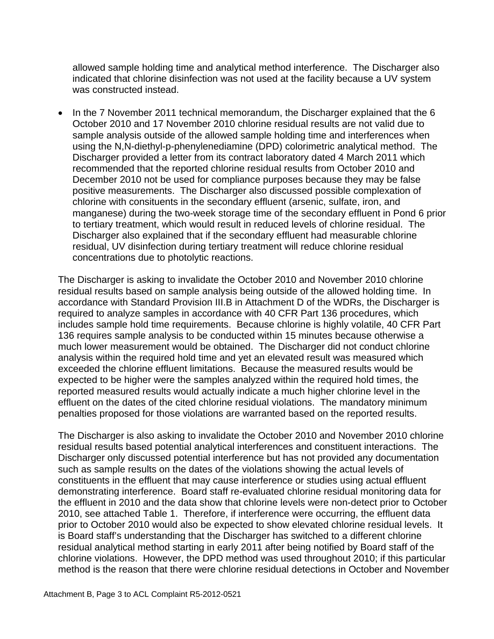allowed sample holding time and analytical method interference. The Discharger also indicated that chlorine disinfection was not used at the facility because a UV system was constructed instead.

• In the 7 November 2011 technical memorandum, the Discharger explained that the 6 October 2010 and 17 November 2010 chlorine residual results are not valid due to sample analysis outside of the allowed sample holding time and interferences when using the N,N-diethyl-p-phenylenediamine (DPD) colorimetric analytical method. The Discharger provided a letter from its contract laboratory dated 4 March 2011 which recommended that the reported chlorine residual results from October 2010 and December 2010 not be used for compliance purposes because they may be false positive measurements. The Discharger also discussed possible complexation of chlorine with consituents in the secondary effluent (arsenic, sulfate, iron, and manganese) during the two-week storage time of the secondary effluent in Pond 6 prior to tertiary treatment, which would result in reduced levels of chlorine residual. The Discharger also explained that if the secondary effluent had measurable chlorine residual, UV disinfection during tertiary treatment will reduce chlorine residual concentrations due to photolytic reactions.

The Discharger is asking to invalidate the October 2010 and November 2010 chlorine residual results based on sample analysis being outside of the allowed holding time. In accordance with Standard Provision III.B in Attachment D of the WDRs, the Discharger is required to analyze samples in accordance with 40 CFR Part 136 procedures, which includes sample hold time requirements. Because chlorine is highly volatile, 40 CFR Part 136 requires sample analysis to be conducted within 15 minutes because otherwise a much lower measurement would be obtained. The Discharger did not conduct chlorine analysis within the required hold time and yet an elevated result was measured which exceeded the chlorine effluent limitations. Because the measured results would be expected to be higher were the samples analyzed within the required hold times, the reported measured results would actually indicate a much higher chlorine level in the effluent on the dates of the cited chlorine residual violations. The mandatory minimum penalties proposed for those violations are warranted based on the reported results.

The Discharger is also asking to invalidate the October 2010 and November 2010 chlorine residual results based potential analytical interferences and constituent interactions. The Discharger only discussed potential interference but has not provided any documentation such as sample results on the dates of the violations showing the actual levels of constituents in the effluent that may cause interference or studies using actual effluent demonstrating interference. Board staff re-evaluated chlorine residual monitoring data for the effluent in 2010 and the data show that chlorine levels were non-detect prior to October 2010, see attached Table 1. Therefore, if interference were occurring, the effluent data prior to October 2010 would also be expected to show elevated chlorine residual levels. It is Board staff's understanding that the Discharger has switched to a different chlorine residual analytical method starting in early 2011 after being notified by Board staff of the chlorine violations. However, the DPD method was used throughout 2010; if this particular method is the reason that there were chlorine residual detections in October and November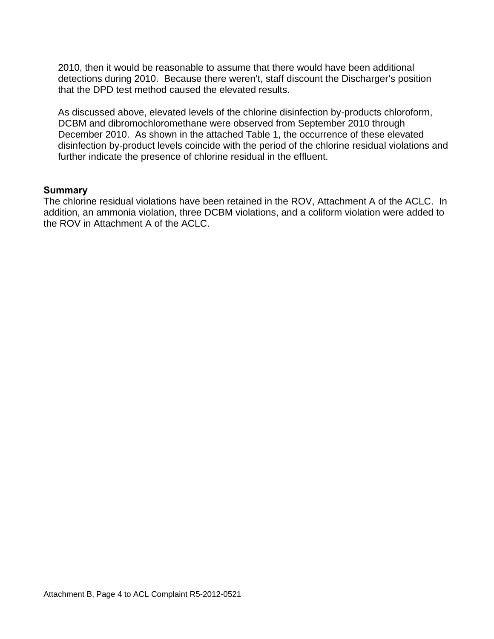2010, then it would be reasonable to assume that there would have been additional detections during 2010. Because there weren't, staff discount the Discharger's position that the DPD test method caused the elevated results.

As discussed above, elevated levels of the chlorine disinfection by-products chloroform, DCBM and dibromochloromethane were observed from September 2010 through December 2010. As shown in the attached Table 1, the occurrence of these elevated disinfection by-product levels coincide with the period of the chlorine residual violations and further indicate the presence of chlorine residual in the effluent.

### **Summary**

The chlorine residual violations have been retained in the ROV, Attachment A of the ACLC. In addition, an ammonia violation, three DCBM violations, and a coliform violation were added to the ROV in Attachment A of the ACLC.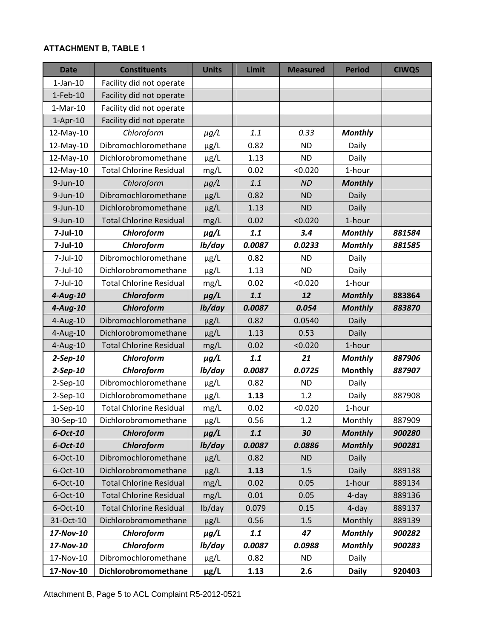# **ATTACHMENT B, TABLE 1**

| <b>Date</b>    | <b>Constituents</b>            | <b>Units</b> | Limit  | <b>Measured</b> | <b>Period</b>  | <b>CIWQS</b> |
|----------------|--------------------------------|--------------|--------|-----------------|----------------|--------------|
| $1$ -Jan- $10$ | Facility did not operate       |              |        |                 |                |              |
| $1-Feb-10$     | Facility did not operate       |              |        |                 |                |              |
| $1-Mar-10$     | Facility did not operate       |              |        |                 |                |              |
| $1-Apr-10$     | Facility did not operate       |              |        |                 |                |              |
| 12-May-10      | Chloroform                     | $\mu$ g/L    | 1.1    | 0.33            | <b>Monthly</b> |              |
| 12-May-10      | Dibromochloromethane           | µg/L         | 0.82   | <b>ND</b>       | Daily          |              |
| 12-May-10      | Dichlorobromomethane           | $\mu$ g/L    | 1.13   | <b>ND</b>       | Daily          |              |
| 12-May-10      | <b>Total Chlorine Residual</b> | mg/L         | 0.02   | < 0.020         | 1-hour         |              |
| $9$ -Jun-10    | Chloroform                     | $\mu$ g/L    | 1.1    | <b>ND</b>       | <b>Monthly</b> |              |
| $9$ -Jun-10    | Dibromochloromethane           | $\mu$ g/L    | 0.82   | <b>ND</b>       | Daily          |              |
| $9$ -Jun-10    | Dichlorobromomethane           | $\mu$ g/L    | 1.13   | <b>ND</b>       | Daily          |              |
| $9$ -Jun-10    | <b>Total Chlorine Residual</b> | mg/L         | 0.02   | < 0.020         | 1-hour         |              |
| 7-Jul-10       | Chloroform                     | $\mu$ g/L    | 1.1    | 3.4             | <b>Monthly</b> | 881584       |
| $7$ -Jul-10    | Chloroform                     | lb/day       | 0.0087 | 0.0233          | <b>Monthly</b> | 881585       |
| 7-Jul-10       | Dibromochloromethane           | $\mu$ g/L    | 0.82   | <b>ND</b>       | Daily          |              |
| 7-Jul-10       | Dichlorobromomethane           | $\mu$ g/L    | 1.13   | <b>ND</b>       | Daily          |              |
| 7-Jul-10       | <b>Total Chlorine Residual</b> | mg/L         | 0.02   | < 0.020         | 1-hour         |              |
| $4$ -Aug-10    | Chloroform                     | $\mu$ g/L    | 1.1    | 12              | <b>Monthly</b> | 883864       |
| $4$ -Aug-10    | Chloroform                     | lb/day       | 0.0087 | 0.054           | <b>Monthly</b> | 883870       |
| 4-Aug-10       | Dibromochloromethane           | $\mu$ g/L    | 0.82   | 0.0540          | Daily          |              |
| 4-Aug-10       | Dichlorobromomethane           | $\mu$ g/L    | 1.13   | 0.53            | Daily          |              |
| 4-Aug-10       | <b>Total Chlorine Residual</b> | mg/L         | 0.02   | < 0.020         | 1-hour         |              |
| $2-Sep-10$     | Chloroform                     | $\mu$ g/L    | 1.1    | 21              | <b>Monthly</b> | 887906       |
| $2-Sep-10$     | Chloroform                     | lb/day       | 0.0087 | 0.0725          | <b>Monthly</b> | 887907       |
| $2-Sep-10$     | Dibromochloromethane           | $\mu$ g/L    | 0.82   | <b>ND</b>       | Daily          |              |
| $2-Sep-10$     | Dichlorobromomethane           | µg/L         | 1.13   | 1.2             | Daily          | 887908       |
| $1-Sep-10$     | <b>Total Chlorine Residual</b> | mg/L         | 0.02   | < 0.020         | 1-hour         |              |
| 30-Sep-10      | Dichlorobromomethane           | $\mu$ g/L    | 0.56   | 1.2             | Monthly        | 887909       |
| $6$ -Oct-10    | Chloroform                     | $\mu$ g/L    | 1.1    | 30              | <b>Monthly</b> | 900280       |
| $6$ -Oct-10    | Chloroform                     | lb/day       | 0.0087 | 0.0886          | <b>Monthly</b> | 900281       |
| $6$ -Oct-10    | Dibromochloromethane           | $\mu$ g/L    | 0.82   | <b>ND</b>       | Daily          |              |
| $6$ -Oct-10    | Dichlorobromomethane           | $\mu$ g/L    | 1.13   | 1.5             | Daily          | 889138       |
| 6-Oct-10       | <b>Total Chlorine Residual</b> | mg/L         | 0.02   | 0.05            | 1-hour         | 889134       |
| $6$ -Oct-10    | <b>Total Chlorine Residual</b> | mg/L         | 0.01   | 0.05            | 4-day          | 889136       |
| $6$ -Oct-10    | <b>Total Chlorine Residual</b> | lb/day       | 0.079  | 0.15            | 4-day          | 889137       |
| 31-Oct-10      | Dichlorobromomethane           | $\mu$ g/L    | 0.56   | 1.5             | Monthly        | 889139       |
| 17-Nov-10      | Chloroform                     | $\mu$ g/L    | 1.1    | 47              | <b>Monthly</b> | 900282       |
| 17-Nov-10      | Chloroform                     | lb/day       | 0.0087 | 0.0988          | <b>Monthly</b> | 900283       |
| 17-Nov-10      | Dibromochloromethane           | $\mu$ g/L    | 0.82   | <b>ND</b>       | Daily          |              |
| 17-Nov-10      | Dichlorobromomethane           | $\mu$ g/L    | 1.13   | 2.6             | <b>Daily</b>   | 920403       |